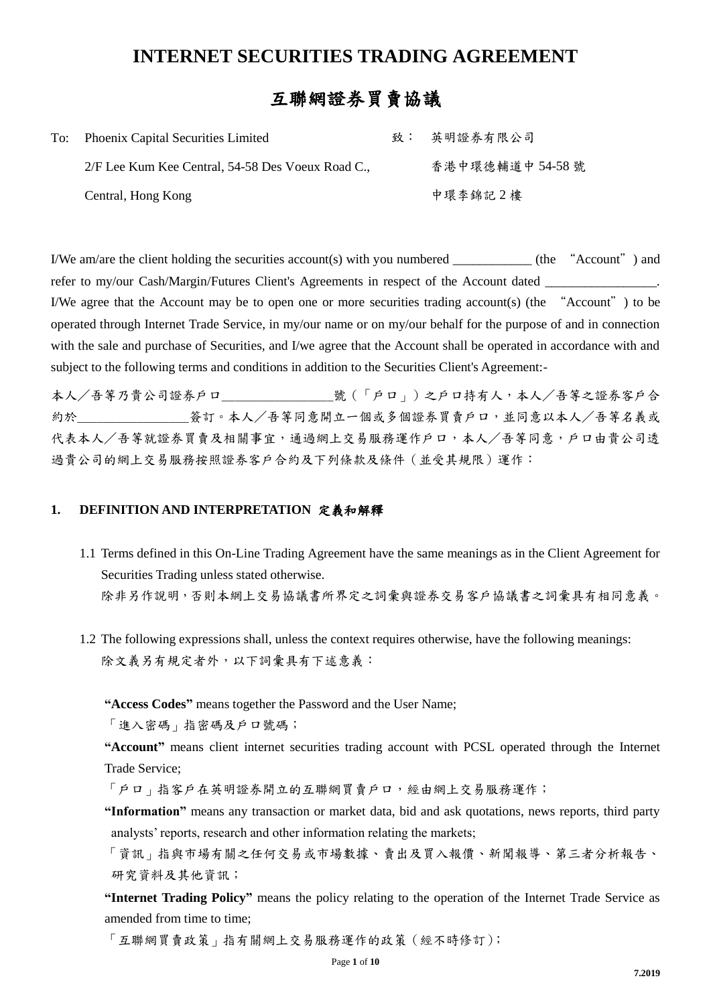## **INTERNET SECURITIES TRADING AGREEMENT**

## 互聯網證券買賣協議

| To: Phoenix Capital Securities Limited            | 致: 英明證券有限公司      |
|---------------------------------------------------|------------------|
| 2/F Lee Kum Kee Central, 54-58 Des Voeux Road C., | 香港中環德輔道中 54-58 號 |
| Central, Hong Kong                                | 中環李錦記2樓          |

I/We am/are the client holding the securities account(s) with you numbered \_\_\_\_\_\_\_\_\_\_\_\_ (the "Account") and refer to my/our Cash/Margin/Futures Client's Agreements in respect of the Account dated I/We agree that the Account may be to open one or more securities trading account(s) (the "Account") to be operated through Internet Trade Service, in my/our name or on my/our behalf for the purpose of and in connection with the sale and purchase of Securities, and I/we agree that the Account shall be operated in accordance with and subject to the following terms and conditions in addition to the Securities Client's Agreement:-

本人/吾等乃貴公司證券戶口\_\_\_\_\_\_\_\_\_\_\_\_\_\_\_\_\_號(「戶口」)之戶口持有人,本人/吾等之證券客戶合 約於\_\_\_\_\_\_\_\_\_\_\_\_\_\_\_\_\_\_簽訂。本人/吾等同意開立一個或多個證券買賣戶口,並同意以本人/吾等名義或 代表本人/吾等就證券買賣及相關事宜,通過網上交易服務運作戶口,本人/吾等同意,戶口由貴公司透 過貴公司的網上交易服務按照證券客戶合約及下列條款及條件(並受其規限)運作:

## **1. DEFINITION AND INTERPRETATION** 定義和解釋

1.1 Terms defined in this On-Line Trading Agreement have the same meanings as in the Client Agreement for Securities Trading unless stated otherwise.

除非另作說明,否則本網上交易協議書所界定之詞彙與證券交易客戶協議書之詞彙具有相同意義。

1.2 The following expressions shall, unless the context requires otherwise, have the following meanings: 除文義另有規定者外,以下詞彙具有下述意義:

**"Access Codes"** means together the Password and the User Name;

「進入密碼」指密碼及戶口號碼;

**"Account"** means client internet securities trading account with PCSL operated through the Internet Trade Service;

「戶口」指客戶在英明證券開立的互聯網買賣戶口,經由網上交易服務運作;

**"Information"** means any transaction or market data, bid and ask quotations, news reports, third party analysts' reports, research and other information relating the markets;

「資訊」指與市場有關之任何交易或市場數據、賣出及買入報價、新聞報導、第三者分析報告、 研究資料及其他資訊;

**"Internet Trading Policy"** means the policy relating to the operation of the Internet Trade Service as amended from time to time;

「互聯網買賣政策」指有關網上交易服務運作的政策(經不時修訂);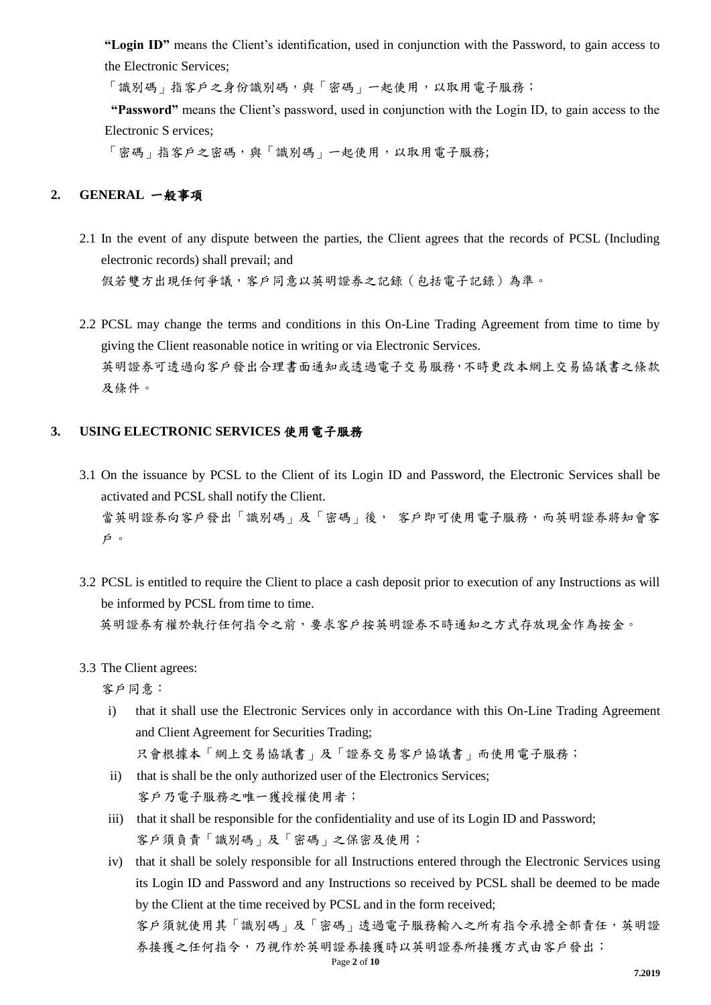**"Login ID"** means the Client's identification, used in conjunction with the Password, to gain access to the Electronic Services;

「識別碼」指客戶之身份識別碼,與「密碼」一起使用,以取用電子服務;

**"Password"** means the Client's password, used in conjunction with the Login ID, to gain access to the Electronic S ervices;

「密碼」指客戶之密碼,與「識別碼」一起使用,以取用電子服務;

## **2. GENERAL** 一般事項

- 2.1 In the event of any dispute between the parties, the Client agrees that the records of PCSL (Including electronic records) shall prevail; and 假若雙方出現任何爭議,客戶同意以英明證券之記錄(包括電子記錄)為準。
- 2.2 PCSL may change the terms and conditions in this On-Line Trading Agreement from time to time by giving the Client reasonable notice in writing or via Electronic Services. 英明證券可透過向客戶發出合理書面通知或透過電子交易服務,不時更改本網上交易協議書之條款 及條件。

## **3. USING ELECTRONIC SERVICES** 使用電子服務

- 3.1 On the issuance by PCSL to the Client of its Login ID and Password, the Electronic Services shall be activated and PCSL shall notify the Client. 當英明證券向客戶發出「識別碼」及「密碼」後, 客戶即可使用電子服務,而英明證券將知會客 戶。
- 3.2 PCSL is entitled to require the Client to place a cash deposit prior to execution of any Instructions as will be informed by PCSL from time to time. 英明證券有權於執行任何指令之前,要求客戶按英明證券不時通知之方式存放現金作為按金。
- 3.3 The Client agrees:
	- 客戶同意:
	- i) that it shall use the Electronic Services only in accordance with this On-Line Trading Agreement and Client Agreement for Securities Trading;

只會根據本「網上交易協議書」及「證券交易客戶協議書」而使用電子服務;

- ii) that is shall be the only authorized user of the Electronics Services; 客戶乃電子服務之唯一獲授權使用者;
- iii) that it shall be responsible for the confidentiality and use of its Login ID and Password; 客戶須負責「識別碼」及「密碼」之保密及使用;
- Page **2** of **10** iv) that it shall be solely responsible for all Instructions entered through the Electronic Services using its Login ID and Password and any Instructions so received by PCSL shall be deemed to be made by the Client at the time received by PCSL and in the form received; 客戶須就使用其「識別碼」及「密碼」透過電子服務輸入之所有指令承擔全部責任,英明證 券接獲之任何指令,乃視作於英明證券接獲時以英明證券所接獲方式由客戶發出;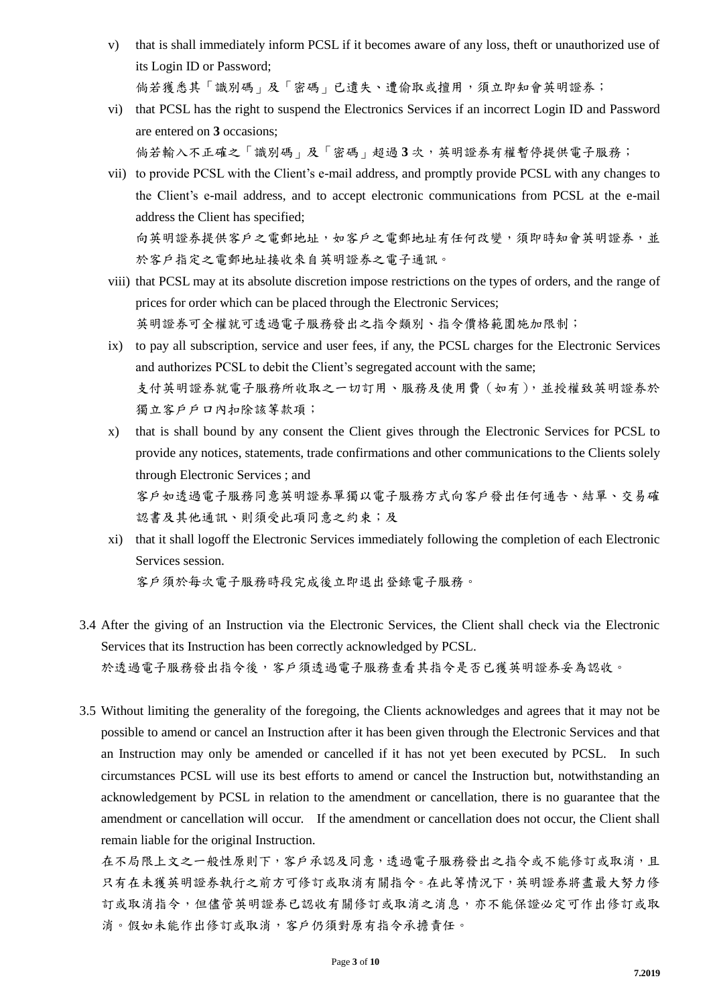- v) that is shall immediately inform PCSL if it becomes aware of any loss, theft or unauthorized use of its Login ID or Password; 倘若獲悉其「識別碼」及「密碼」已遺失、遭偷取或擅用,須立即知會英明證券;
- vi) that PCSL has the right to suspend the Electronics Services if an incorrect Login ID and Password are entered on **3** occasions; 倘若輸入不正確之「識別碼」及「密碼」超過 **3** 次,英明證券有權暫停提供電子服務;
- vii) to provide PCSL with the Client's e-mail address, and promptly provide PCSL with any changes to the Client's e-mail address, and to accept electronic communications from PCSL at the e-mail address the Client has specified; 向英明證券提供客戶之電郵也上有任何改變,須即時知會英明證券,並 於客戶指定之電郵地址接收來自英明證券之電子通訊。
- viii) that PCSL may at its absolute discretion impose restrictions on the types of orders, and the range of prices for order which can be placed through the Electronic Services; 英明證券可全權就可透過電子服務發出之指令類別、指令價格範圍施加限制;
- ix) to pay all subscription, service and user fees, if any, the PCSL charges for the Electronic Services and authorizes PCSL to debit the Client's segregated account with the same; 支付英明證券就電子服務所收取之一切訂用、服務及使用費(如有),並授權致英明證券於 獨立客戶戶口內扣除該等款項;
- x) that is shall bound by any consent the Client gives through the Electronic Services for PCSL to provide any notices, statements, trade confirmations and other communications to the Clients solely through Electronic Services ; and

客戶如透過電子服務同意英明證券單獨以電子服務方式向客戶發出任何通告、結單、交易確 認書及其他通訊、則須受此項同意之約束;及

xi) that it shall logoff the Electronic Services immediately following the completion of each Electronic Services session. 客戶須於每次電子服務時段完成後立即退出登錄電子服務。

- 3.4 After the giving of an Instruction via the Electronic Services, the Client shall check via the Electronic Services that its Instruction has been correctly acknowledged by PCSL. 於透過電子服務查看其指令是否已獲英明證券妥為認收。
- 3.5 Without limiting the generality of the foregoing, the Clients acknowledges and agrees that it may not be possible to amend or cancel an Instruction after it has been given through the Electronic Services and that an Instruction may only be amended or cancelled if it has not yet been executed by PCSL. In such circumstances PCSL will use its best efforts to amend or cancel the Instruction but, notwithstanding an acknowledgement by PCSL in relation to the amendment or cancellation, there is no guarantee that the amendment or cancellation will occur. If the amendment or cancellation does not occur, the Client shall remain liable for the original Instruction.

在不局限上文之一般性原則下,客戶承認及同意,透過電子服務發出之指令或不能修訂或取消,且 只有在未獲英明證券執行之前方可修訂或取消有關指令。在此等情況下,英明證券將盡最大努力修 訂或取消指令,但儘管英明證券已認收有關修訂或取消之消息,亦不能保證必定可作出修訂或取 消。假如未能作出修訂或取消,客戶仍須對原有指令承擔責任。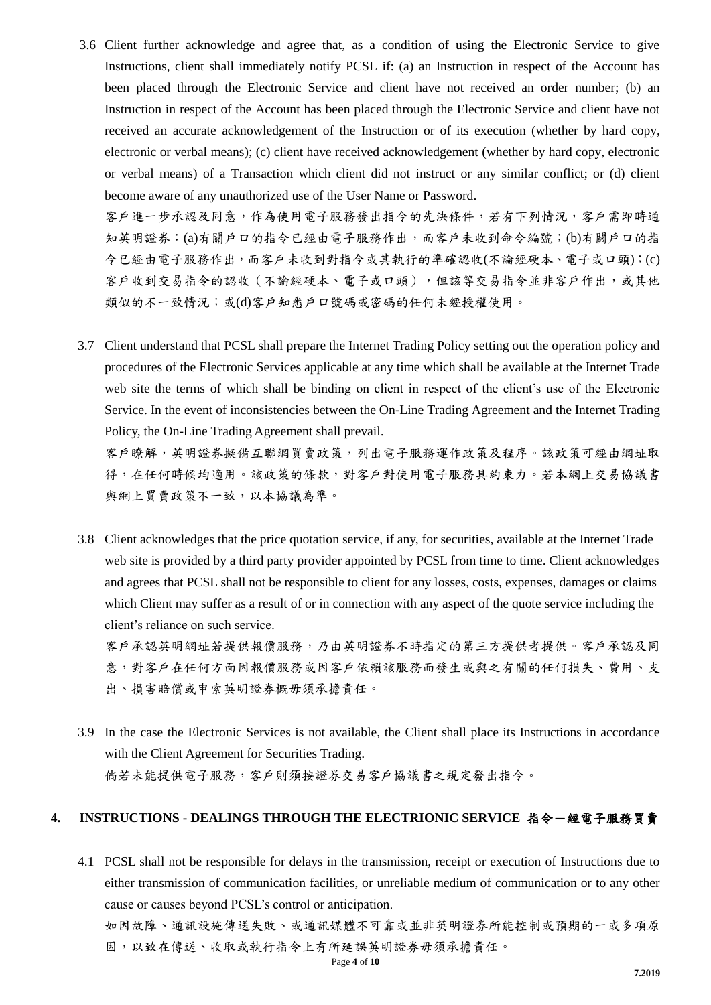3.6 Client further acknowledge and agree that, as a condition of using the Electronic Service to give Instructions, client shall immediately notify PCSL if: (a) an Instruction in respect of the Account has been placed through the Electronic Service and client have not received an order number; (b) an Instruction in respect of the Account has been placed through the Electronic Service and client have not received an accurate acknowledgement of the Instruction or of its execution (whether by hard copy, electronic or verbal means); (c) client have received acknowledgement (whether by hard copy, electronic or verbal means) of a Transaction which client did not instruct or any similar conflict; or (d) client become aware of any unauthorized use of the User Name or Password.

客戶進一步承認及同意,作為使用電子服務發出指令的先決條件,若有下列情況,客戶需即時通 知英明證券:(a)有關戶口的指令已經由電子服務作出,而客戶未收到命令編號;(b)有關戶口的指 令已經由電子服務作出,而客戶未收到對指令或其執行的準確認收(不論經硬本、電子或口頭);(c) 客戶收到交易指令的認收(不論經硬本、電子或口頭),但該等交易指令並非客戶作出,或其他 類似的不一致情況;或(d)客戶知悉戶口號碼或密碼的任何未經授權使用。

3.7 Client understand that PCSL shall prepare the Internet Trading Policy setting out the operation policy and procedures of the Electronic Services applicable at any time which shall be available at the Internet Trade web site the terms of which shall be binding on client in respect of the client's use of the Electronic Service. In the event of inconsistencies between the On-Line Trading Agreement and the Internet Trading Policy, the On-Line Trading Agreement shall prevail.

客戶瞭解,英明證券擬備互聯網買賣政策,列出電子服務運作政策及程序。該政策可經由網址取 得,在任何時候均適用。該政策的條款,對客戶對使用電子服務具約束力。若本網上交易協議書 與網上買賣政策不一致,以本協議為準。

3.8 Client acknowledges that the price quotation service, if any, for securities, available at the Internet Trade web site is provided by a third party provider appointed by PCSL from time to time. Client acknowledges and agrees that PCSL shall not be responsible to client for any losses, costs, expenses, damages or claims which Client may suffer as a result of or in connection with any aspect of the quote service including the client's reliance on such service.

客戶承認英明網址若提供報價服務,乃由英明證券不時指定的第三方提供者提供。客戶承認及同 意,對客戶在任何方面因報價服務或因客戶依賴該服務而發生或與之有關的任何損失、費用、支 出、損害賠償或申索英明證券概毋須承擔責任。

3.9 In the case the Electronic Services is not available, the Client shall place its Instructions in accordance with the Client Agreement for Securities Trading. 倘若未能提供電子服務,客戶則須按證券交易客戶協議書之規定發出指令。

## **4. INSTRUCTIONS - DEALINGS THROUGH THE ELECTRIONIC SERVICE** 指令-經電子服務買賣

4.1 PCSL shall not be responsible for delays in the transmission, receipt or execution of Instructions due to either transmission of communication facilities, or unreliable medium of communication or to any other cause or causes beyond PCSL's control or anticipation. 如因故障、通訊設施傳送失敗、或通訊媒體不可靠或並非英明證券所能控制或預期的一或多項原 因,以致在傳送、收取或執行指令上有所延誤英明證券毋須承擔責任。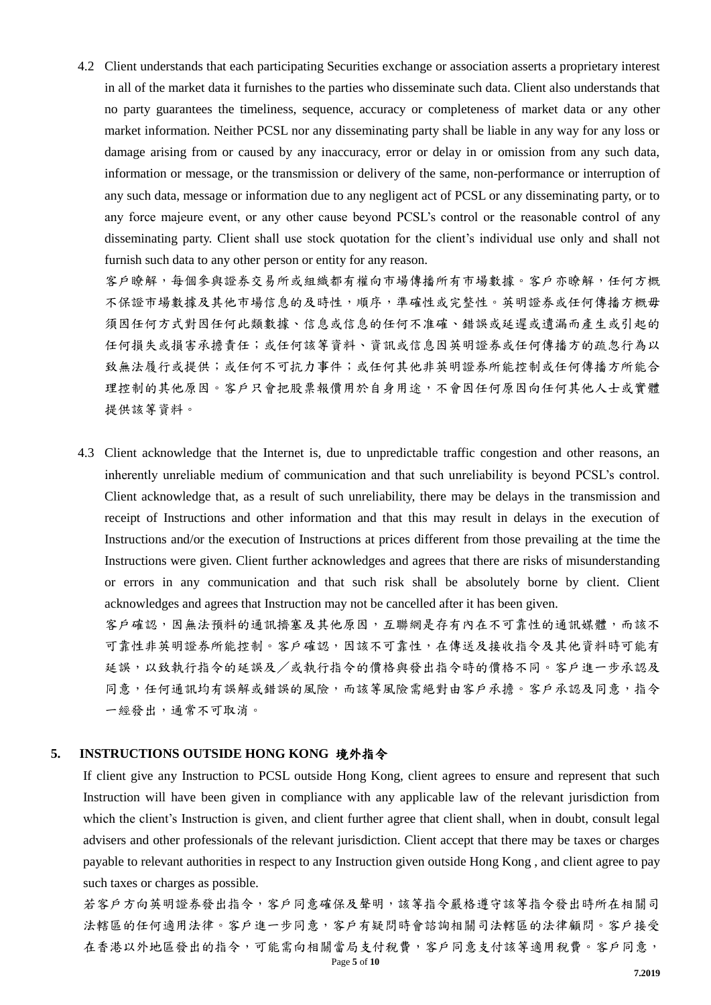4.2 Client understands that each participating Securities exchange or association asserts a proprietary interest in all of the market data it furnishes to the parties who disseminate such data. Client also understands that no party guarantees the timeliness, sequence, accuracy or completeness of market data or any other market information. Neither PCSL nor any disseminating party shall be liable in any way for any loss or damage arising from or caused by any inaccuracy, error or delay in or omission from any such data, information or message, or the transmission or delivery of the same, non-performance or interruption of any such data, message or information due to any negligent act of PCSL or any disseminating party, or to any force majeure event, or any other cause beyond PCSL's control or the reasonable control of any disseminating party. Client shall use stock quotation for the client's individual use only and shall not furnish such data to any other person or entity for any reason.

客戶瞭解,每個參與證券交易所或組織都有權向市場傳播所有市場數據。客戶亦瞭解,任何方概 不保證市場數據及其他市場信息的及時性,順序,準確性或完整性。英明證券或任何傳播方概毋 須因任何方式對因任何此類數據、信息或信息的任何不准確、錯誤或延遲或遺漏而產生或引起的 任何損失或損害承擔責任;或任何該等資料、資訊或信息因英明證券或任何傳播方的疏忽行為以 致無法履行或提供;或任何不可抗力事件;或任何其他非英明證券所能控制或任何傳播方所能合 理控制的其他原因。客戶只會把股票報價用於自身用途,不會因任何原因向任何其他人士或實體 提供該等資料。

4.3 Client acknowledge that the Internet is, due to unpredictable traffic congestion and other reasons, an inherently unreliable medium of communication and that such unreliability is beyond PCSL's control. Client acknowledge that, as a result of such unreliability, there may be delays in the transmission and receipt of Instructions and other information and that this may result in delays in the execution of Instructions and/or the execution of Instructions at prices different from those prevailing at the time the Instructions were given. Client further acknowledges and agrees that there are risks of misunderstanding or errors in any communication and that such risk shall be absolutely borne by client. Client acknowledges and agrees that Instruction may not be cancelled after it has been given.

客戶確認,因無法預料的通訊擠塞及其他原因,互聯網是存有內在不可靠性的通訊媒體,而該不 可靠性非英明證券所能控制。客戶確認,因該不可靠性,在傳送及接收指令及其他資料時可能有 延誤,以致執行指令的延誤及/或執行指令的價格與發出指令時的價格不同。客戶進一步承認及 同意,任何通訊均有誤解或錯誤的風險,而該等風險需絕對由客戶承擔。客戶承認及同意,指令 一經發出,通常不可取消。

#### **5. INSTRUCTIONS OUTSIDE HONG KONG** 境外指令

If client give any Instruction to PCSL outside Hong Kong, client agrees to ensure and represent that such Instruction will have been given in compliance with any applicable law of the relevant jurisdiction from which the client's Instruction is given, and client further agree that client shall, when in doubt, consult legal advisers and other professionals of the relevant jurisdiction. Client accept that there may be taxes or charges payable to relevant authorities in respect to any Instruction given outside Hong Kong , and client agree to pay such taxes or charges as possible.

Page **5** of **10** 若客戶方向英明證券發出指令,客戶同意確保及聲明,該等指令嚴格遵守該等指令發出時所在相關司 法轄區的任何適用法律。客戶進一步同意,客戶有疑問時會諮詢相關司法轄區的法律顧問。客戶接受 在香港以外地區發出的指令,可能需向相關當局支付稅費,客戶同意支付該等適用稅費。客戶同意,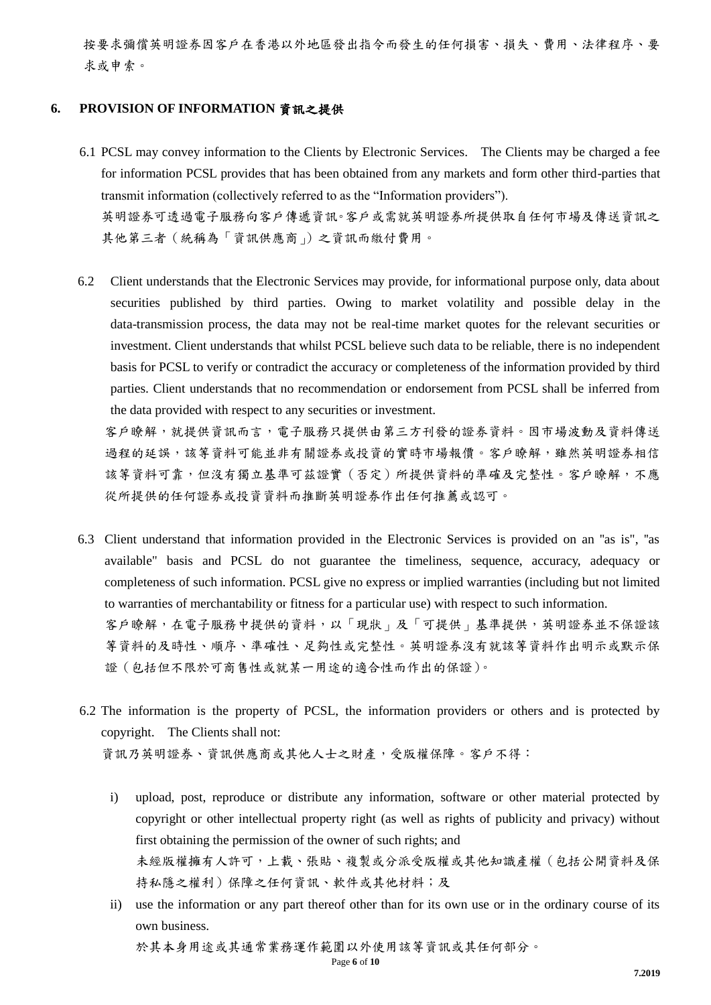按要求彌償英明證券因客戶在香港以外地區發出指令而發生的任何損害、損失、費用、法律程序、要 求或申索。

#### **6. PROVISION OF INFORMATION** 資訊之提供

- 6.1 PCSL may convey information to the Clients by Electronic Services. The Clients may be charged a fee for information PCSL provides that has been obtained from any markets and form other third-parties that transmit information (collectively referred to as the "Information providers"). 英明證券可透過電子服務向客戶傳遞資訊。客戶或需就英明證券所提供取自任何市場及傳送資訊之 其他第三者(統稱為「資訊供應商」)之資訊而繳付費用。
- 6.2 Client understands that the Electronic Services may provide, for informational purpose only, data about securities published by third parties. Owing to market volatility and possible delay in the data-transmission process, the data may not be real-time market quotes for the relevant securities or investment. Client understands that whilst PCSL believe such data to be reliable, there is no independent basis for PCSL to verify or contradict the accuracy or completeness of the information provided by third parties. Client understands that no recommendation or endorsement from PCSL shall be inferred from the data provided with respect to any securities or investment.

客戶瞭解,就提供資訊而言,電子服務只提供由第三方刊發的證券資料。因市場波動及資料傳送 過程的延誤,該等資料可能並非有關證券或投資的實時市場報價。客戶瞭解,雖然英明證券相信 該等資料可靠,但沒有獨立基準可茲證實(否定)所提供資料的準確及完整性。客戶瞭解,不應 從所提供的任何證券或投資資料而推斷英明證券作出任何推薦或認可。

- 6.3 Client understand that information provided in the Electronic Services is provided on an ''as is", ''as available" basis and PCSL do not guarantee the timeliness, sequence, accuracy, adequacy or completeness of such information. PCSL give no express or implied warranties (including but not limited to warranties of merchantability or fitness for a particular use) with respect to such information. 客戶瞭解,在電子服務中提供的資料,以「現狀」及「可提供」基準提供,英明證券並不保證該 等資料的及時性、順序、準確性、足夠性或完整性。英明證券沒有就該等資料作出明示或默示保 證(包括但不限於可商售性或就某一用途的適合性而作出的保證)。
- 6.2 The information is the property of PCSL, the information providers or others and is protected by copyright. The Clients shall not: 資訊乃英明證券、資訊供應商或其他人士之財產,受版權保障。客戶不得:
	- i) upload, post, reproduce or distribute any information, software or other material protected by copyright or other intellectual property right (as well as rights of publicity and privacy) without first obtaining the permission of the owner of such rights; and 未經版權擁有人許可,上載、張貼、複製或分派受版權或其他知識產權(包括公開資料及保 持私隱之權利)保障之任何資訊、軟件或其他材料;及
	- ii) use the information or any part thereof other than for its own use or in the ordinary course of its own business.

於其本身用途或其通常業務運作範圍以外使用該等資訊或其任何部分。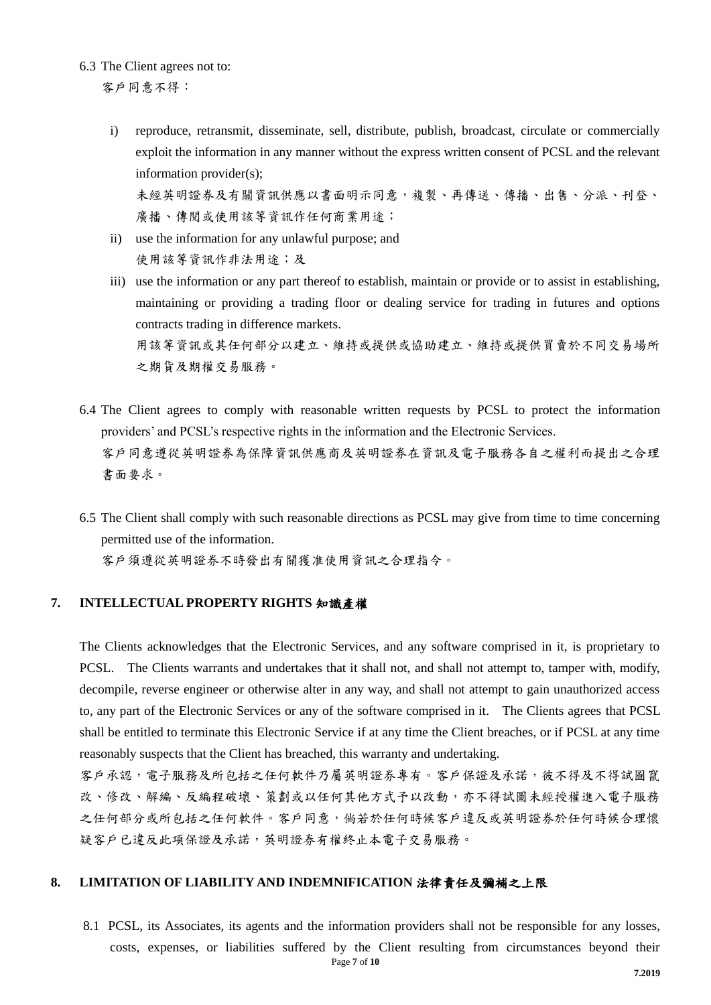6.3 The Client agrees not to:

客戶同意不得:

i) reproduce, retransmit, disseminate, sell, distribute, publish, broadcast, circulate or commercially exploit the information in any manner without the express written consent of PCSL and the relevant information provider(s);

未經英明證券及有關資訊供應以書面明示同意,複製、再傳送、傳播、出售、分派、刊登、 廣播、傳閱或使用該等資訊作任何商業用途;

- ii) use the information for any unlawful purpose; and 使用該等資訊作非法用途;及
- iii) use the information or any part thereof to establish, maintain or provide or to assist in establishing, maintaining or providing a trading floor or dealing service for trading in futures and options contracts trading in difference markets.

用該等資訊或其任何部分以建立、維持或提供或協助建立、維持或提供買賣於不同交易場所 之期貨及期權交易服務。

- 6.4 The Client agrees to comply with reasonable written requests by PCSL to protect the information providers' and PCSL's respective rights in the information and the Electronic Services. 客戶同意遵從英明證券為保障資訊供應商及英明證券在資訊及電子服務各自之權利而提出之合理 書面要求。
- 6.5 The Client shall comply with such reasonable directions as PCSL may give from time to time concerning permitted use of the information.

客戶須遵從英明證券不時發出有關獲准使用資訊之合理指令。

## **7. INTELLECTUAL PROPERTY RIGHTS** 知識產權

The Clients acknowledges that the Electronic Services, and any software comprised in it, is proprietary to PCSL. The Clients warrants and undertakes that it shall not, and shall not attempt to, tamper with, modify, decompile, reverse engineer or otherwise alter in any way, and shall not attempt to gain unauthorized access to, any part of the Electronic Services or any of the software comprised in it. The Clients agrees that PCSL shall be entitled to terminate this Electronic Service if at any time the Client breaches, or if PCSL at any time reasonably suspects that the Client has breached, this warranty and undertaking.

客戶承認,電子服務及所包括之任何軟件乃屬英明證券專有。客戶保證及承諾,彼不得及不得試圖竄 改、修改、解編、反編程破壞、策劃或以任何其他方式予以改動,亦不得試圖未經授權進入電子服務 之任何部分或所包括之任何欺件。客戶同意,倘若於任何時候客戶違反或英明證券於任何時候合理懷 疑客戶已違反此項保證及承諾,英明證券有權終止本電子交易服務。

## **8. LIMITATION OF LIABILITY AND INDEMNIFICATION** 法律責任及彌補之上限

Page **7** of **10** 8.1 PCSL, its Associates, its agents and the information providers shall not be responsible for any losses, costs, expenses, or liabilities suffered by the Client resulting from circumstances beyond their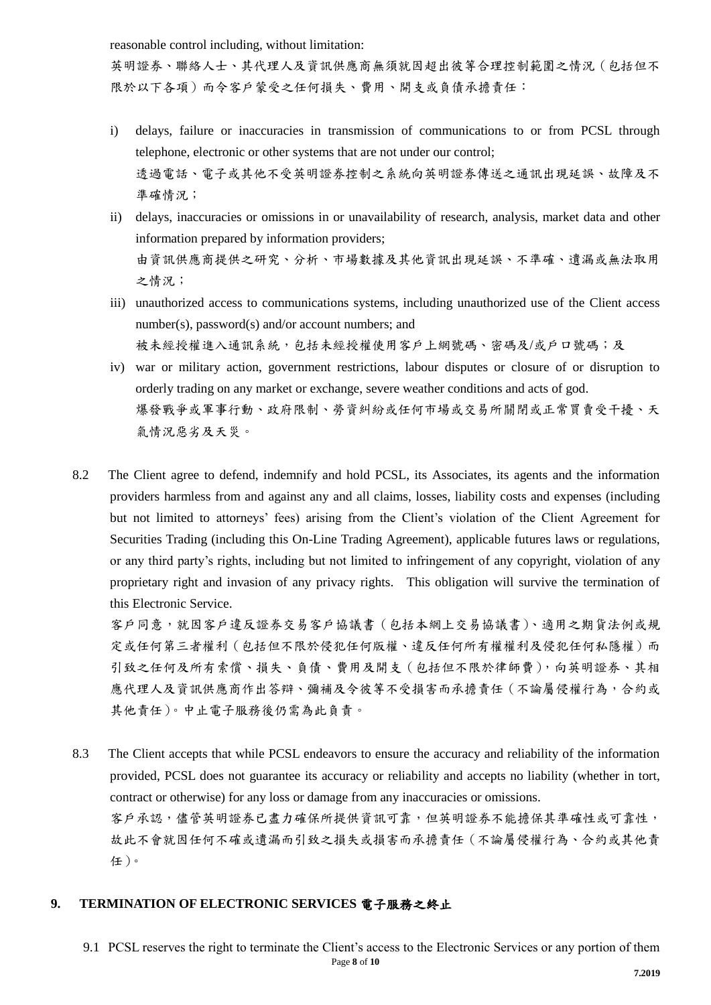reasonable control including, without limitation:

英明證券、聯絡人士、其代理人及資訊供應商無須就因超出彼等合理控制範圍之情況(包括但不 限於以下各項)而令客戶蒙受之任何損失、費用、開支或負債承擔責任:

- i) delays, failure or inaccuracies in transmission of communications to or from PCSL through telephone, electronic or other systems that are not under our control; 透過電話、電子或其他不受英明證券控制之系統向英明證券傳送之通訊出現延誤、故障及不 準確情況;
- ii) delays, inaccuracies or omissions in or unavailability of research, analysis, market data and other information prepared by information providers; 由資訊供應商提供之研究、分析、市場數據及其他資訊出現延誤、不準確、遺漏或無法取用 之情況;
- iii) unauthorized access to communications systems, including unauthorized use of the Client access number(s), password(s) and/or account numbers; and 被未經授權進入通訊系統,包括未經授權使用客戶上網號碼、密碼及/或戶口號碼;及
- iv) war or military action, government restrictions, labour disputes or closure of or disruption to orderly trading on any market or exchange, severe weather conditions and acts of god. 爆發戰爭或軍事行動、政府限制、勞資糾紛或任何市場或交易所關閉或正常買賣受干擾、天 氣情況惡劣及天災。
- 8.2 The Client agree to defend, indemnify and hold PCSL, its Associates, its agents and the information providers harmless from and against any and all claims, losses, liability costs and expenses (including but not limited to attorneys' fees) arising from the Client's violation of the Client Agreement for Securities Trading (including this On-Line Trading Agreement), applicable futures laws or regulations, or any third party's rights, including but not limited to infringement of any copyright, violation of any proprietary right and invasion of any privacy rights. This obligation will survive the termination of this Electronic Service.

客戶同意,就因客戶違反證券交易客戶協議書(包括本網上交易協議書)、適用之期貨法例或規 定或任何第三者權利(包括但不限於侵犯任何版權、違反任何所有權權利及侵犯任何私隱權)而 引致之任何及所有索償、損失、負債、費用及開支(包括但不限於律師費),向英明證券、其相 應代理人及資訊供應商作出答辯、彌補及令彼等不受損害而承擔責任(不論屬侵權行為,合約或 其他責任)。中止電子服務後仍需為此負責。

8.3 The Client accepts that while PCSL endeavors to ensure the accuracy and reliability of the information provided, PCSL does not guarantee its accuracy or reliability and accepts no liability (whether in tort, contract or otherwise) for any loss or damage from any inaccuracies or omissions. 客戶承認,儘管英明證券已盡力確保所提供資訊可靠,但英明證券不能擔保其準確性或可靠性, 故此不會就因任何不確或遺漏而引致之損失或損害而承擔責任(不論屬侵權行為、合約或其他責 任)。

## **9. TERMINATION OF ELECTRONIC SERVICES** 電子服務之終止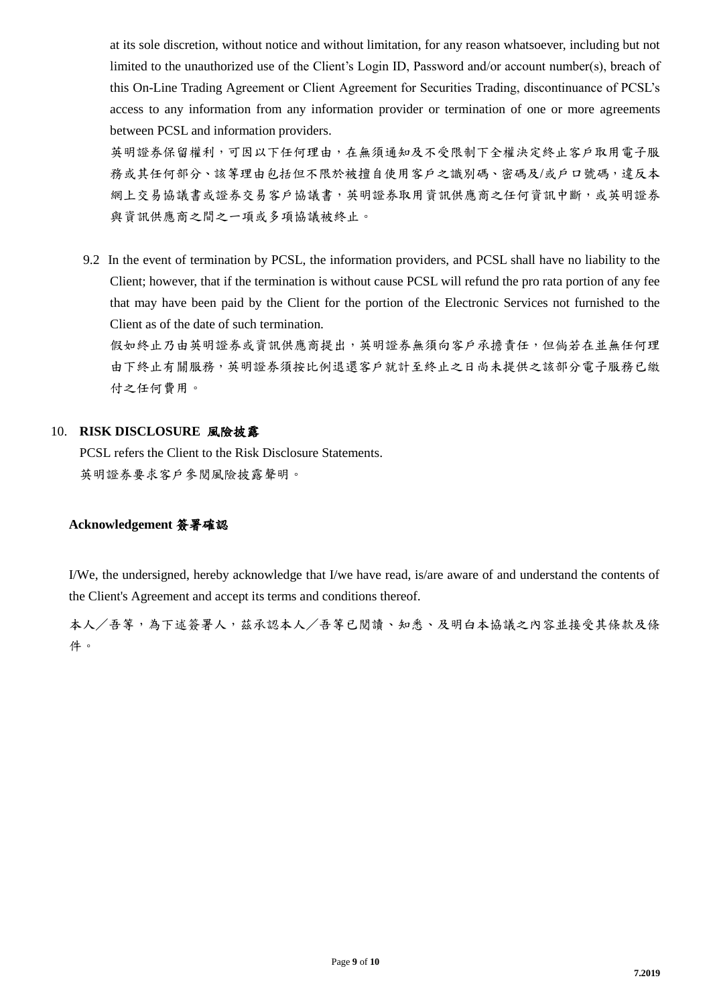at its sole discretion, without notice and without limitation, for any reason whatsoever, including but not limited to the unauthorized use of the Client's Login ID, Password and/or account number(s), breach of this On-Line Trading Agreement or Client Agreement for Securities Trading, discontinuance of PCSL's access to any information from any information provider or termination of one or more agreements between PCSL and information providers.

英明證券保留權利,可因以下任何理由,在無須通知及不受限制下全權決定終止客戶取用電子服 務或其任何部分、該等理由包括但不限於被擅自使用客戶之識別碼、密碼及/或戶口號碼,違反本 網上交易協議書或證券交易客戶協議書,英明證券取用資訊供應商之任何資訊中斷,或英明證券 與資訊供應商之間之一項或多項協議被終止。

9.2 In the event of termination by PCSL, the information providers, and PCSL shall have no liability to the Client; however, that if the termination is without cause PCSL will refund the pro rata portion of any fee that may have been paid by the Client for the portion of the Electronic Services not furnished to the Client as of the date of such termination.

假如終止乃由英明證券或資訊供應商提出,英明證券無須向客戶承擔責任,但倘若在並無任何理 由下終止有關服務,英明證券須按比例退還客戶就計至終止之日尚未提供之該部分電子服務已繳 付之任何費用。

## 10. **RISK DISCLOSURE** 風險披露

PCSL refers the Client to the Risk Disclosure Statements. 英明證券要求客戶參閱風險披露聲明。

## **Acknowledgement** 簽署確認

I/We, the undersigned, hereby acknowledge that I/we have read, is/are aware of and understand the contents of the Client's Agreement and accept its terms and conditions thereof.

本人/吾等,為下述簽署人,茲承認本人/吾等已閱讀、知悉、及明白本協議之內容並接受其條款及條 件。